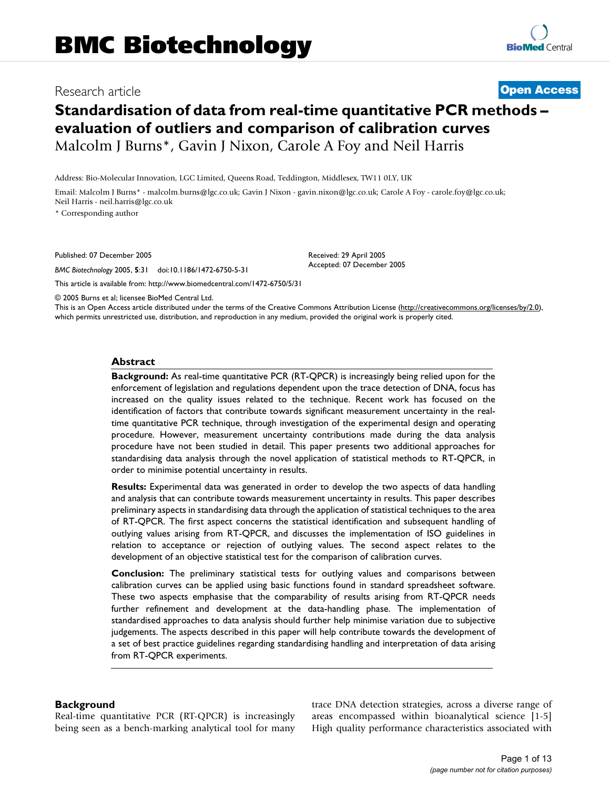# Research article **[Open Access](http://www.biomedcentral.com/info/about/charter/)**

# **Standardisation of data from real-time quantitative PCR methods – evaluation of outliers and comparison of calibration curves** Malcolm J Burns\*, Gavin J Nixon, Carole A Foy and Neil Harris

Address: Bio-Molecular Innovation, LGC Limited, Queens Road, Teddington, Middlesex, TW11 0LY, UK

Email: Malcolm J Burns\* - malcolm.burns@lgc.co.uk; Gavin J Nixon - gavin.nixon@lgc.co.uk; Carole A Foy - carole.foy@lgc.co.uk; Neil Harris - neil.harris@lgc.co.uk

\* Corresponding author

Published: 07 December 2005

*BMC Biotechnology* 2005, **5**:31 doi:10.1186/1472-6750-5-31

[This article is available from: http://www.biomedcentral.com/1472-6750/5/31](http://www.biomedcentral.com/1472-6750/5/31)

© 2005 Burns et al; licensee BioMed Central Ltd.

This is an Open Access article distributed under the terms of the Creative Commons Attribution License [\(http://creativecommons.org/licenses/by/2.0\)](http://creativecommons.org/licenses/by/2.0), which permits unrestricted use, distribution, and reproduction in any medium, provided the original work is properly cited.

Received: 29 April 2005 Accepted: 07 December 2005

#### **Abstract**

**Background:** As real-time quantitative PCR (RT-QPCR) is increasingly being relied upon for the enforcement of legislation and regulations dependent upon the trace detection of DNA, focus has increased on the quality issues related to the technique. Recent work has focused on the identification of factors that contribute towards significant measurement uncertainty in the realtime quantitative PCR technique, through investigation of the experimental design and operating procedure. However, measurement uncertainty contributions made during the data analysis procedure have not been studied in detail. This paper presents two additional approaches for standardising data analysis through the novel application of statistical methods to RT-QPCR, in order to minimise potential uncertainty in results.

**Results:** Experimental data was generated in order to develop the two aspects of data handling and analysis that can contribute towards measurement uncertainty in results. This paper describes preliminary aspects in standardising data through the application of statistical techniques to the area of RT-QPCR. The first aspect concerns the statistical identification and subsequent handling of outlying values arising from RT-QPCR, and discusses the implementation of ISO guidelines in relation to acceptance or rejection of outlying values. The second aspect relates to the development of an objective statistical test for the comparison of calibration curves.

**Conclusion:** The preliminary statistical tests for outlying values and comparisons between calibration curves can be applied using basic functions found in standard spreadsheet software. These two aspects emphasise that the comparability of results arising from RT-QPCR needs further refinement and development at the data-handling phase. The implementation of standardised approaches to data analysis should further help minimise variation due to subjective judgements. The aspects described in this paper will help contribute towards the development of a set of best practice guidelines regarding standardising handling and interpretation of data arising from RT-QPCR experiments.

#### **Background**

Real-time quantitative PCR (RT-QPCR) is increasingly being seen as a bench-marking analytical tool for many trace DNA detection strategies, across a diverse range of areas encompassed within bioanalytical science [1-5] High quality performance characteristics associated with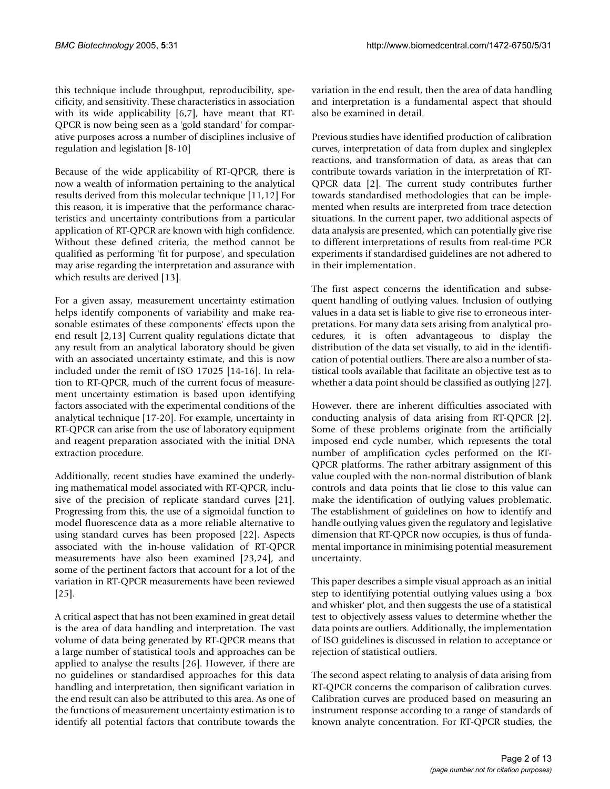this technique include throughput, reproducibility, specificity, and sensitivity. These characteristics in association with its wide applicability [6,7], have meant that RT-QPCR is now being seen as a 'gold standard' for comparative purposes across a number of disciplines inclusive of regulation and legislation [8-10]

Because of the wide applicability of RT-QPCR, there is now a wealth of information pertaining to the analytical results derived from this molecular technique [11,12] For this reason, it is imperative that the performance characteristics and uncertainty contributions from a particular application of RT-QPCR are known with high confidence. Without these defined criteria, the method cannot be qualified as performing 'fit for purpose', and speculation may arise regarding the interpretation and assurance with which results are derived [13].

For a given assay, measurement uncertainty estimation helps identify components of variability and make reasonable estimates of these components' effects upon the end result [2,13] Current quality regulations dictate that any result from an analytical laboratory should be given with an associated uncertainty estimate, and this is now included under the remit of ISO 17025 [14-16]. In relation to RT-QPCR, much of the current focus of measurement uncertainty estimation is based upon identifying factors associated with the experimental conditions of the analytical technique [17-20]. For example, uncertainty in RT-QPCR can arise from the use of laboratory equipment and reagent preparation associated with the initial DNA extraction procedure.

Additionally, recent studies have examined the underlying mathematical model associated with RT-QPCR, inclusive of the precision of replicate standard curves [21]. Progressing from this, the use of a sigmoidal function to model fluorescence data as a more reliable alternative to using standard curves has been proposed [22]. Aspects associated with the in-house validation of RT-QPCR measurements have also been examined [23,24], and some of the pertinent factors that account for a lot of the variation in RT-QPCR measurements have been reviewed [25].

A critical aspect that has not been examined in great detail is the area of data handling and interpretation. The vast volume of data being generated by RT-QPCR means that a large number of statistical tools and approaches can be applied to analyse the results [26]. However, if there are no guidelines or standardised approaches for this data handling and interpretation, then significant variation in the end result can also be attributed to this area. As one of the functions of measurement uncertainty estimation is to identify all potential factors that contribute towards the variation in the end result, then the area of data handling and interpretation is a fundamental aspect that should also be examined in detail.

Previous studies have identified production of calibration curves, interpretation of data from duplex and singleplex reactions, and transformation of data, as areas that can contribute towards variation in the interpretation of RT-QPCR data [2]. The current study contributes further towards standardised methodologies that can be implemented when results are interpreted from trace detection situations. In the current paper, two additional aspects of data analysis are presented, which can potentially give rise to different interpretations of results from real-time PCR experiments if standardised guidelines are not adhered to in their implementation.

The first aspect concerns the identification and subsequent handling of outlying values. Inclusion of outlying values in a data set is liable to give rise to erroneous interpretations. For many data sets arising from analytical procedures, it is often advantageous to display the distribution of the data set visually, to aid in the identification of potential outliers. There are also a number of statistical tools available that facilitate an objective test as to whether a data point should be classified as outlying [27].

However, there are inherent difficulties associated with conducting analysis of data arising from RT-QPCR [2]. Some of these problems originate from the artificially imposed end cycle number, which represents the total number of amplification cycles performed on the RT-QPCR platforms. The rather arbitrary assignment of this value coupled with the non-normal distribution of blank controls and data points that lie close to this value can make the identification of outlying values problematic. The establishment of guidelines on how to identify and handle outlying values given the regulatory and legislative dimension that RT-QPCR now occupies, is thus of fundamental importance in minimising potential measurement uncertainty.

This paper describes a simple visual approach as an initial step to identifying potential outlying values using a 'box and whisker' plot, and then suggests the use of a statistical test to objectively assess values to determine whether the data points are outliers. Additionally, the implementation of ISO guidelines is discussed in relation to acceptance or rejection of statistical outliers.

The second aspect relating to analysis of data arising from RT-QPCR concerns the comparison of calibration curves. Calibration curves are produced based on measuring an instrument response according to a range of standards of known analyte concentration. For RT-QPCR studies, the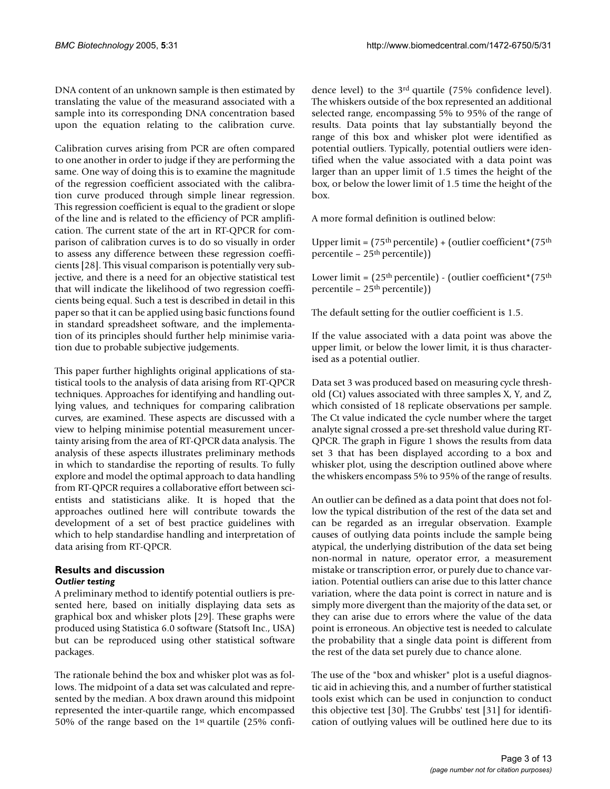DNA content of an unknown sample is then estimated by translating the value of the measurand associated with a sample into its corresponding DNA concentration based upon the equation relating to the calibration curve.

Calibration curves arising from PCR are often compared to one another in order to judge if they are performing the same. One way of doing this is to examine the magnitude of the regression coefficient associated with the calibration curve produced through simple linear regression. This regression coefficient is equal to the gradient or slope of the line and is related to the efficiency of PCR amplification. The current state of the art in RT-QPCR for comparison of calibration curves is to do so visually in order to assess any difference between these regression coefficients [28]. This visual comparison is potentially very subjective, and there is a need for an objective statistical test that will indicate the likelihood of two regression coefficients being equal. Such a test is described in detail in this paper so that it can be applied using basic functions found in standard spreadsheet software, and the implementation of its principles should further help minimise variation due to probable subjective judgements.

This paper further highlights original applications of statistical tools to the analysis of data arising from RT-QPCR techniques. Approaches for identifying and handling outlying values, and techniques for comparing calibration curves, are examined. These aspects are discussed with a view to helping minimise potential measurement uncertainty arising from the area of RT-QPCR data analysis. The analysis of these aspects illustrates preliminary methods in which to standardise the reporting of results. To fully explore and model the optimal approach to data handling from RT-QPCR requires a collaborative effort between scientists and statisticians alike. It is hoped that the approaches outlined here will contribute towards the development of a set of best practice guidelines with which to help standardise handling and interpretation of data arising from RT-QPCR.

#### **Results and discussion** *Outlier testing*

A preliminary method to identify potential outliers is presented here, based on initially displaying data sets as graphical box and whisker plots [29]. These graphs were produced using Statistica 6.0 software (Statsoft Inc., USA) but can be reproduced using other statistical software packages.

The rationale behind the box and whisker plot was as follows. The midpoint of a data set was calculated and represented by the median. A box drawn around this midpoint represented the inter-quartile range, which encompassed 50% of the range based on the 1st quartile (25% confidence level) to the 3rd quartile (75% confidence level). The whiskers outside of the box represented an additional selected range, encompassing 5% to 95% of the range of results. Data points that lay substantially beyond the range of this box and whisker plot were identified as potential outliers. Typically, potential outliers were identified when the value associated with a data point was larger than an upper limit of 1.5 times the height of the box, or below the lower limit of 1.5 time the height of the box.

A more formal definition is outlined below:

Upper limit =  $(75<sup>th</sup>$  percentile) + (outlier coefficient\* $(75<sup>th</sup>$ percentile – 25th percentile))

Lower limit =  $(25<sup>th</sup>$  percentile) - (outlier coefficient\* $(75<sup>th</sup>$ percentile – 25th percentile))

The default setting for the outlier coefficient is 1.5.

If the value associated with a data point was above the upper limit, or below the lower limit, it is thus characterised as a potential outlier.

Data set 3 was produced based on measuring cycle threshold (Ct) values associated with three samples X, Y, and Z, which consisted of 18 replicate observations per sample. The Ct value indicated the cycle number where the target analyte signal crossed a pre-set threshold value during RT-QPCR. The graph in Figure 1 shows the results from data set 3 that has been displayed according to a box and whisker plot, using the description outlined above where the whiskers encompass 5% to 95% of the range of results.

An outlier can be defined as a data point that does not follow the typical distribution of the rest of the data set and can be regarded as an irregular observation. Example causes of outlying data points include the sample being atypical, the underlying distribution of the data set being non-normal in nature, operator error, a measurement mistake or transcription error, or purely due to chance variation. Potential outliers can arise due to this latter chance variation, where the data point is correct in nature and is simply more divergent than the majority of the data set, or they can arise due to errors where the value of the data point is erroneous. An objective test is needed to calculate the probability that a single data point is different from the rest of the data set purely due to chance alone.

The use of the "box and whisker" plot is a useful diagnostic aid in achieving this, and a number of further statistical tools exist which can be used in conjunction to conduct this objective test [30]. The Grubbs' test [31] for identification of outlying values will be outlined here due to its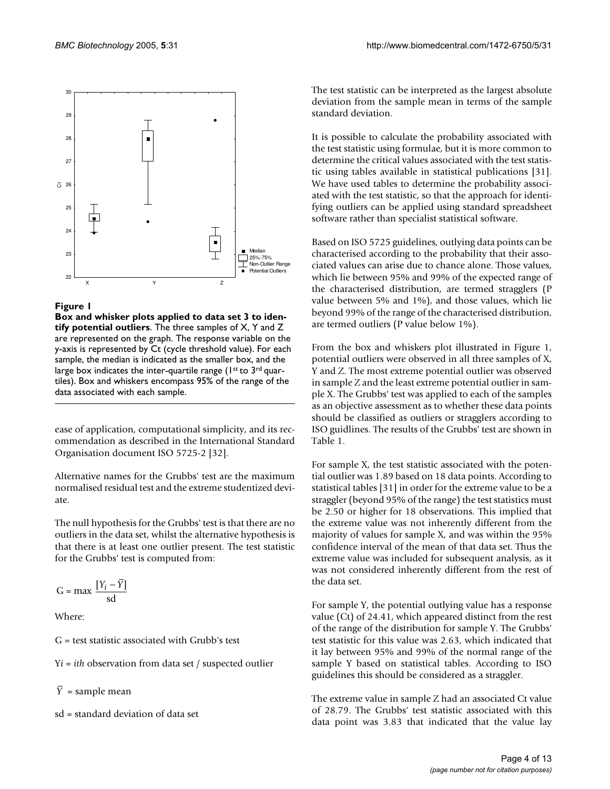

#### **Figure 1**

**Box and whisker plots applied to data set 3 to identify potential outliers**. The three samples of X, Y and Z are represented on the graph. The response variable on the y-axis is represented by Ct (cycle threshold value). For each sample, the median is indicated as the smaller box, and the large box indicates the inter-quartile range ( $1<sup>st</sup>$  to  $3<sup>rd</sup>$  quartiles). Box and whiskers encompass 95% of the range of the data associated with each sample.

ease of application, computational simplicity, and its recommendation as described in the International Standard Organisation document ISO 5725-2 [32].

Alternative names for the Grubbs' test are the maximum normalised residual test and the extreme studentized deviate.

The null hypothesis for the Grubbs' test is that there are no outliers in the data set, whilst the alternative hypothesis is that there is at least one outlier present. The test statistic for the Grubbs' test is computed from:

$$
\textbf{G} = \max \ \frac{[Y_i - \overline{Y}]}{\text{sd}}
$$

Where:

G = test statistic associated with Grubb's test

Y*i* = *ith* observation from data set / suspected outlier

*Y* = sample mean

sd = standard deviation of data set

The test statistic can be interpreted as the largest absolute deviation from the sample mean in terms of the sample standard deviation.

It is possible to calculate the probability associated with the test statistic using formulae, but it is more common to determine the critical values associated with the test statistic using tables available in statistical publications [31]. We have used tables to determine the probability associated with the test statistic, so that the approach for identifying outliers can be applied using standard spreadsheet software rather than specialist statistical software.

Based on ISO 5725 guidelines, outlying data points can be characterised according to the probability that their associated values can arise due to chance alone. Those values, which lie between 95% and 99% of the expected range of the characterised distribution, are termed stragglers (P value between 5% and 1%), and those values, which lie beyond 99% of the range of the characterised distribution, are termed outliers (P value below 1%).

From the box and whiskers plot illustrated in Figure 1, potential outliers were observed in all three samples of X, Y and Z. The most extreme potential outlier was observed in sample Z and the least extreme potential outlier in sample X. The Grubbs' test was applied to each of the samples as an objective assessment as to whether these data points should be classified as outliers or stragglers according to ISO guidlines. The results of the Grubbs' test are shown in Table 1.

For sample X, the test statistic associated with the potential outlier was 1.89 based on 18 data points. According to statistical tables [31] in order for the extreme value to be a straggler (beyond 95% of the range) the test statistics must be 2.50 or higher for 18 observations. This implied that the extreme value was not inherently different from the majority of values for sample X, and was within the 95% confidence interval of the mean of that data set. Thus the extreme value was included for subsequent analysis, as it was not considered inherently different from the rest of the data set.

For sample Y, the potential outlying value has a response value (Ct) of 24.41, which appeared distinct from the rest of the range of the distribution for sample Y. The Grubbs' test statistic for this value was 2.63, which indicated that it lay between 95% and 99% of the normal range of the sample Y based on statistical tables. According to ISO guidelines this should be considered as a straggler.

The extreme value in sample Z had an associated Ct value of 28.79. The Grubbs' test statistic associated with this data point was 3.83 that indicated that the value lay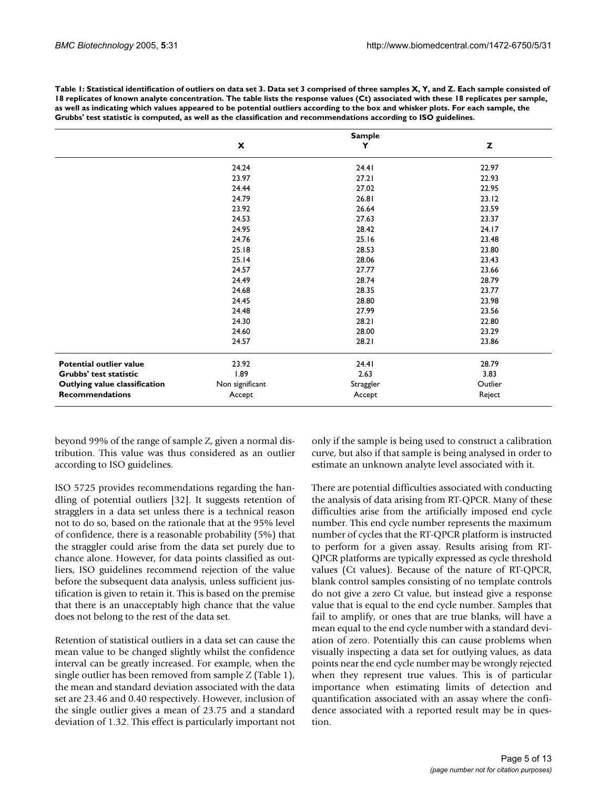|                                |                    | <b>Sample</b> |         |
|--------------------------------|--------------------|---------------|---------|
|                                | $\pmb{\mathsf{x}}$ | Y             | z       |
|                                | 24.24              | 24.41         | 22.97   |
|                                | 23.97              | 27.21         | 22.93   |
|                                | 24.44              | 27.02         | 22.95   |
|                                | 24.79              | 26.81         | 23.12   |
|                                | 23.92              | 26.64         | 23.59   |
|                                | 24.53              | 27.63         | 23.37   |
|                                | 24.95              | 28.42         | 24.17   |
|                                | 24.76              | 25.16         | 23.48   |
|                                | 25.18              | 28.53         | 23.80   |
|                                | 25.14              | 28.06         | 23.43   |
|                                | 24.57              | 27.77         | 23.66   |
|                                | 24.49              | 28.74         | 28.79   |
|                                | 24.68              | 28.35         | 23.77   |
|                                | 24.45              | 28.80         | 23.98   |
|                                | 24.48              | 27.99         | 23.56   |
|                                | 24.30              | 28.21         | 22.80   |
|                                | 24.60              | 28.00         | 23.29   |
|                                | 24.57              | 28.21         | 23.86   |
| <b>Potential outlier value</b> | 23.92              | 24.41         | 28.79   |
| Grubbs' test statistic         | 1.89               | 2.63          | 3.83    |
| Outlying value classification  | Non significant    | Straggler     | Outlier |
| <b>Recommendations</b>         | Accept             | Accept        | Reject  |

**Table 1: Statistical identification of outliers on data set 3. Data set 3 comprised of three samples X, Y, and Z. Each sample consisted of 18 replicates of known analyte concentration. The table lists the response values (Ct) associated with these 18 replicates per sample, as well as indicating which values appeared to be potential outliers according to the box and whisker plots. For each sample, the Grubbs' test statistic is computed, as well as the classification and recommendations according to ISO guidelines.**

beyond 99% of the range of sample Z, given a normal distribution. This value was thus considered as an outlier according to ISO guidelines.

ISO 5725 provides recommendations regarding the handling of potential outliers [32]. It suggests retention of stragglers in a data set unless there is a technical reason not to do so, based on the rationale that at the 95% level of confidence, there is a reasonable probability (5%) that the straggler could arise from the data set purely due to chance alone. However, for data points classified as outliers, ISO guidelines recommend rejection of the value before the subsequent data analysis, unless sufficient justification is given to retain it. This is based on the premise that there is an unacceptably high chance that the value does not belong to the rest of the data set.

Retention of statistical outliers in a data set can cause the mean value to be changed slightly whilst the confidence interval can be greatly increased. For example, when the single outlier has been removed from sample Z (Table 1), the mean and standard deviation associated with the data set are 23.46 and 0.40 respectively. However, inclusion of the single outlier gives a mean of 23.75 and a standard deviation of 1.32. This effect is particularly important not only if the sample is being used to construct a calibration curve, but also if that sample is being analysed in order to estimate an unknown analyte level associated with it.

There are potential difficulties associated with conducting the analysis of data arising from RT-QPCR. Many of these difficulties arise from the artificially imposed end cycle number. This end cycle number represents the maximum number of cycles that the RT-QPCR platform is instructed to perform for a given assay. Results arising from RT-QPCR platforms are typically expressed as cycle threshold values (Ct values). Because of the nature of RT-QPCR, blank control samples consisting of no template controls do not give a zero Ct value, but instead give a response value that is equal to the end cycle number. Samples that fail to amplify, or ones that are true blanks, will have a mean equal to the end cycle number with a standard deviation of zero. Potentially this can cause problems when visually inspecting a data set for outlying values, as data points near the end cycle number may be wrongly rejected when they represent true values. This is of particular importance when estimating limits of detection and quantification associated with an assay where the confidence associated with a reported result may be in question.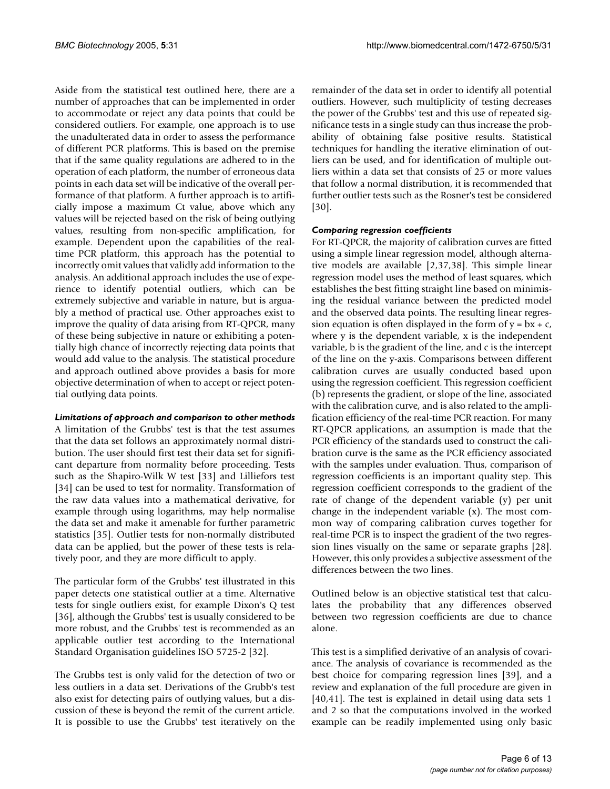Aside from the statistical test outlined here, there are a number of approaches that can be implemented in order to accommodate or reject any data points that could be considered outliers. For example, one approach is to use the unadulterated data in order to assess the performance of different PCR platforms. This is based on the premise that if the same quality regulations are adhered to in the operation of each platform, the number of erroneous data points in each data set will be indicative of the overall performance of that platform. A further approach is to artificially impose a maximum Ct value, above which any values will be rejected based on the risk of being outlying values, resulting from non-specific amplification, for example. Dependent upon the capabilities of the realtime PCR platform, this approach has the potential to incorrectly omit values that validly add information to the analysis. An additional approach includes the use of experience to identify potential outliers, which can be extremely subjective and variable in nature, but is arguably a method of practical use. Other approaches exist to improve the quality of data arising from RT-QPCR, many of these being subjective in nature or exhibiting a potentially high chance of incorrectly rejecting data points that would add value to the analysis. The statistical procedure and approach outlined above provides a basis for more objective determination of when to accept or reject potential outlying data points.

#### *Limitations of approach and comparison to other methods*

A limitation of the Grubbs' test is that the test assumes that the data set follows an approximately normal distribution. The user should first test their data set for significant departure from normality before proceeding. Tests such as the Shapiro-Wilk W test [33] and Lilliefors test [34] can be used to test for normality. Transformation of the raw data values into a mathematical derivative, for example through using logarithms, may help normalise the data set and make it amenable for further parametric statistics [35]. Outlier tests for non-normally distributed data can be applied, but the power of these tests is relatively poor, and they are more difficult to apply.

The particular form of the Grubbs' test illustrated in this paper detects one statistical outlier at a time. Alternative tests for single outliers exist, for example Dixon's Q test [36], although the Grubbs' test is usually considered to be more robust, and the Grubbs' test is recommended as an applicable outlier test according to the International Standard Organisation guidelines ISO 5725-2 [32].

The Grubbs test is only valid for the detection of two or less outliers in a data set. Derivations of the Grubb's test also exist for detecting pairs of outlying values, but a discussion of these is beyond the remit of the current article. It is possible to use the Grubbs' test iteratively on the remainder of the data set in order to identify all potential outliers. However, such multiplicity of testing decreases the power of the Grubbs' test and this use of repeated significance tests in a single study can thus increase the probability of obtaining false positive results. Statistical techniques for handling the iterative elimination of outliers can be used, and for identification of multiple outliers within a data set that consists of 25 or more values that follow a normal distribution, it is recommended that further outlier tests such as the Rosner's test be considered [30].

## *Comparing regression coefficients*

For RT-QPCR, the majority of calibration curves are fitted using a simple linear regression model, although alternative models are available [2,37,38]. This simple linear regression model uses the method of least squares, which establishes the best fitting straight line based on minimising the residual variance between the predicted model and the observed data points. The resulting linear regression equation is often displayed in the form of  $y = bx + c$ , where y is the dependent variable, x is the independent variable, b is the gradient of the line, and c is the intercept of the line on the y-axis. Comparisons between different calibration curves are usually conducted based upon using the regression coefficient. This regression coefficient (b) represents the gradient, or slope of the line, associated with the calibration curve, and is also related to the amplification efficiency of the real-time PCR reaction. For many RT-QPCR applications, an assumption is made that the PCR efficiency of the standards used to construct the calibration curve is the same as the PCR efficiency associated with the samples under evaluation. Thus, comparison of regression coefficients is an important quality step. This regression coefficient corresponds to the gradient of the rate of change of the dependent variable (y) per unit change in the independent variable (x). The most common way of comparing calibration curves together for real-time PCR is to inspect the gradient of the two regression lines visually on the same or separate graphs [28]. However, this only provides a subjective assessment of the differences between the two lines.

Outlined below is an objective statistical test that calculates the probability that any differences observed between two regression coefficients are due to chance alone.

This test is a simplified derivative of an analysis of covariance. The analysis of covariance is recommended as the best choice for comparing regression lines [39], and a review and explanation of the full procedure are given in [40,41]. The test is explained in detail using data sets 1 and 2 so that the computations involved in the worked example can be readily implemented using only basic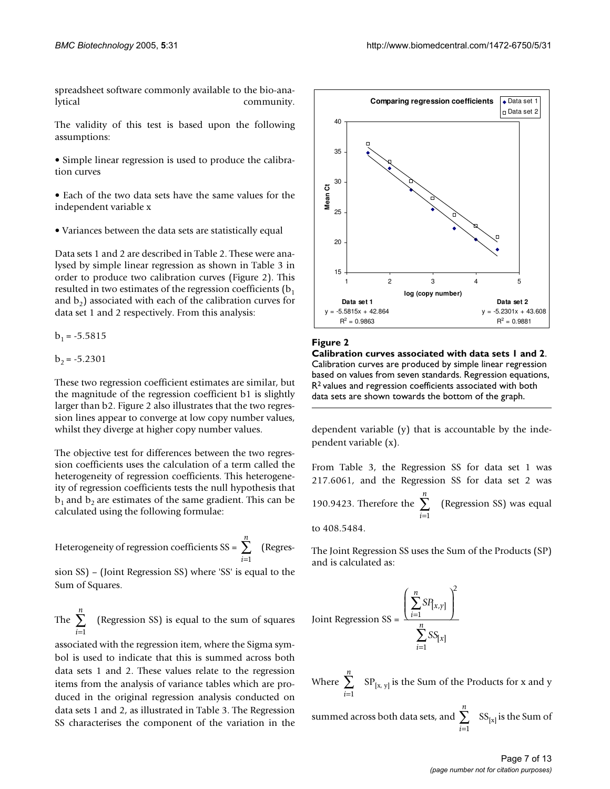spreadsheet software commonly available to the bio-analytical community.

The validity of this test is based upon the following assumptions:

• Simple linear regression is used to produce the calibration curves

• Each of the two data sets have the same values for the independent variable x

• Variances between the data sets are statistically equal

Data sets 1 and 2 are described in Table 2. These were analysed by simple linear regression as shown in Table 3 in order to produce two calibration curves (Figure 2). This resulted in two estimates of the regression coefficients  $(b_1)$ and  $b<sub>2</sub>$ ) associated with each of the calibration curves for data set 1 and 2 respectively. From this analysis:

 $b_1 = -5.5815$ 

 $b_2 = -5.2301$ 

These two regression coefficient estimates are similar, but the magnitude of the regression coefficient b1 is slightly larger than b2. Figure 2 also illustrates that the two regression lines appear to converge at low copy number values, whilst they diverge at higher copy number values.

The objective test for differences between the two regression coefficients uses the calculation of a term called the heterogeneity of regression coefficients. This heterogeneity of regression coefficients tests the null hypothesis that  $b_1$  and  $b_2$  are estimates of the same gradient. This can be calculated using the following formulae:

Heterogeneity of regression coefficients  $SS = \sum$  (Regres*i n* ∑ = 1

sion SS) – (Joint Regression SS) where 'SS' is equal to the Sum of Squares.

The  $\sum$  (Regression SS) is equal to the sum of squares *i n*  $\sum_{i=1}$ 1

associated with the regression item, where the Sigma symbol is used to indicate that this is summed across both data sets 1 and 2. These values relate to the regression items from the analysis of variance tables which are produced in the original regression analysis conducted on data sets 1 and 2, as illustrated in Table 3. The Regression SS characterises the component of the variation in the



#### Figure 2

**Calibration curves associated with data sets 1 and 2**. Calibration curves are produced by simple linear regression based on values from seven standards. Regression equations, R2 values and regression coefficients associated with both data sets are shown towards the bottom of the graph.

dependent variable (y) that is accountable by the independent variable (x).

From Table 3, the Regression SS for data set 1 was 217.6061, and the Regression SS for data set 2 was 190.9423. Therefore the  $\sum$  (Regression SS) was equal to 408.5484. *i n*  $\sum_{i=1}$ 1

The Joint Regression SS uses the Sum of the Products (SP) and is calculated as:

Joint Regression SS = 
$$
\frac{\left(\sum_{i=1}^{n} SP_{[x,y]}\right)^{2}}{\sum_{i=1}^{n} SS_{[x]}}
$$

Where  $\sum$  SP<sub>[x, y]</sub> is the Sum of the Products for x and y *i n*  $\sum_{i=1}$ 1

summed across both data sets, and  $\sum_{}^{}$   $\delta\mathrm{S}_{[\mathrm{x}]}$  is the Sum of *i n*  $\sum_{i=1}$ 1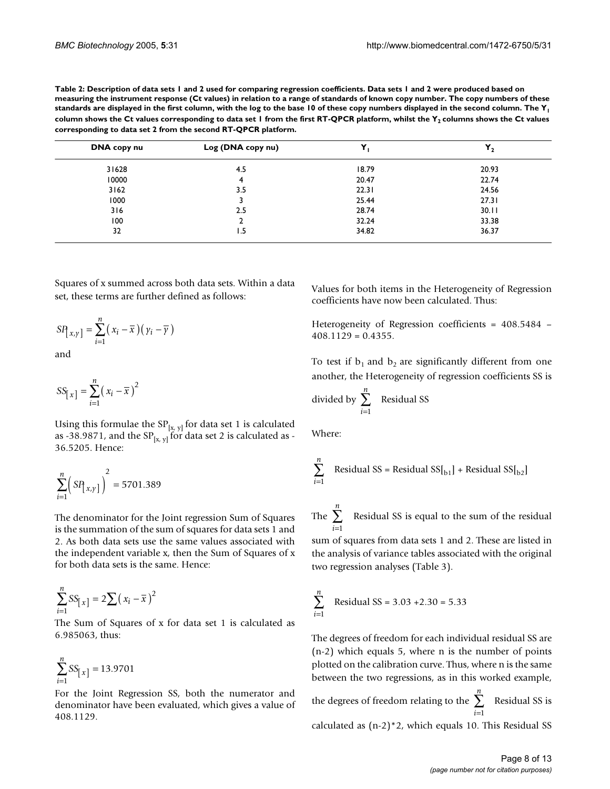| Table 2: Description of data sets 1 and 2 used for comparing regression coefficients. Data sets 1 and 2 were produced based on                |
|-----------------------------------------------------------------------------------------------------------------------------------------------|
| measuring the instrument response (Ct values) in relation to a range of standards of known copy number. The copy numbers of these             |
| standards are displayed in the first column, with the log to the base 10 of these copy numbers displayed in the second column. The $Y_1$      |
| column shows the Ct values corresponding to data set I from the first RT-QPCR platform, whilst the Y <sub>2</sub> columns shows the Ct values |
| corresponding to data set 2 from the second RT-QPCR platform.                                                                                 |

| DNA copy nu | Log (DNA copy nu) |       |       |
|-------------|-------------------|-------|-------|
| 31628       | 4.5               | 18.79 | 20.93 |
| 10000       | 4                 | 20.47 | 22.74 |
| 3162        | 3.5               | 22.31 | 24.56 |
| 1000        |                   | 25.44 | 27.31 |
| 316         | 2.5               | 28.74 | 30.11 |
| 100         |                   | 32.24 | 33.38 |
| 32          | ۱.5               | 34.82 | 36.37 |

Squares of x summed across both data sets. Within a data set, these terms are further defined as follows:

$$
SP_{[x,y]} = \sum_{i=1}^{n} (x_i - \overline{x})(y_i - \overline{y})
$$

and

$$
SS_{[x]} = \sum_{i=1}^{n} (x_i - \overline{x})^2
$$

Using this formulae the  $SP_{[x, y]}$  for data set 1 is calculated as -38.9871, and the  $SP_{[x, y]}$  for data set 2 is calculated as -36.5205. Hence:

$$
\sum_{i=1}^{n} \left( S P_{x,y} \right)^2 = 5701.389
$$

The denominator for the Joint regression Sum of Squares is the summation of the sum of squares for data sets 1 and 2. As both data sets use the same values associated with the independent variable x, then the Sum of Squares of x for both data sets is the same. Hence:

$$
\sum_{i=1}^{n} SS_{[x]} = 2\sum (x_i - \overline{x})^2
$$

The Sum of Squares of x for data set 1 is calculated as 6.985063, thus:

$$
\sum_{i=1}^{n} SS_{[x]} = 13.9701
$$

For the Joint Regression SS, both the numerator and denominator have been evaluated, which gives a value of 408.1129.

Values for both items in the Heterogeneity of Regression coefficients have now been calculated. Thus:

Heterogeneity of Regression coefficients = 408.5484 –  $408.1129 = 0.4355$ .

To test if  $b_1$  and  $b_2$  are significantly different from one another, the Heterogeneity of regression coefficients SS is

divided by 
$$
\sum_{i=1}^{n}
$$
 Residual SS

Where:

$$
\sum_{i=1}^{n} \quad \text{Residual SS} = \text{Residual SS}[\mathbf{b}_1] + \text{Residual SS}[\mathbf{b}_2]
$$

The  $\sum$  Residual SS is equal to the sum of the residual *i n* ∑ = 1

sum of squares from data sets 1 and 2. These are listed in the analysis of variance tables associated with the original two regression analyses (Table 3).

Residual SS = 
$$
3.03 + 2.30 = 5.33
$$

The degrees of freedom for each individual residual SS are (n-2) which equals 5, where n is the number of points plotted on the calibration curve. Thus, where n is the same between the two regressions, as in this worked example,

the degrees of freedom relating to the  $\sum$  Residual SS is calculated as (n-2)\*2, which equals 10. This Residual SS *i n*  $\sum_{i=1}$ 1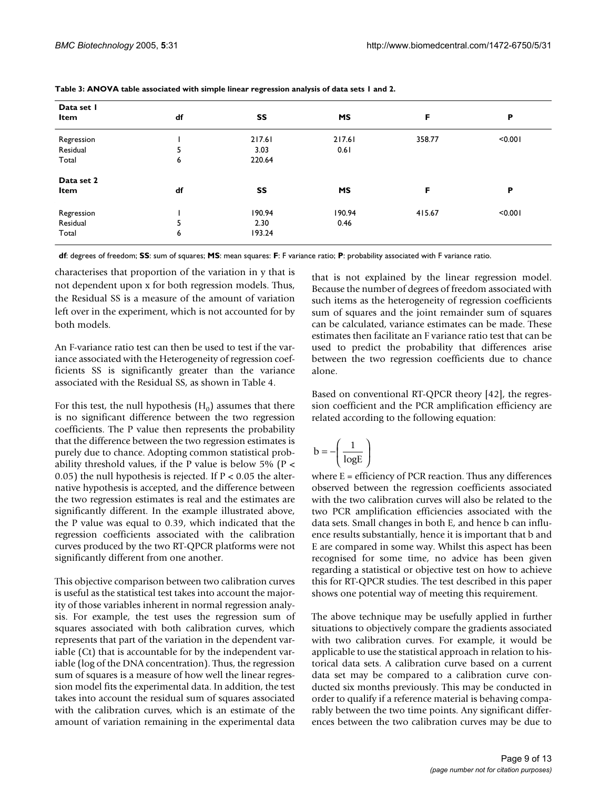| Data set I |    |        |           |        |         |  |
|------------|----|--------|-----------|--------|---------|--|
| Item       | df | SS     | <b>MS</b> | F      | P       |  |
| Regression |    | 217.61 | 217.61    | 358.77 | < 0.001 |  |
| Residual   | 5  | 3.03   | 0.61      |        |         |  |
| Total      | 6  | 220.64 |           |        |         |  |
| Data set 2 |    |        |           |        |         |  |
| Item       | df | SS     | <b>MS</b> | F      | P       |  |
| Regression |    | 190.94 | 190.94    | 415.67 | < 0.001 |  |
| Residual   | 5  | 2.30   | 0.46      |        |         |  |
| Total      | 6  | 193.24 |           |        |         |  |

**Table 3: ANOVA table associated with simple linear regression analysis of data sets 1 and 2.**

**df**: degrees of freedom; **SS**: sum of squares; **MS**: mean squares: **F**: F variance ratio; **P**: probability associated with F variance ratio.

characterises that proportion of the variation in y that is not dependent upon x for both regression models. Thus, the Residual SS is a measure of the amount of variation left over in the experiment, which is not accounted for by both models.

An F-variance ratio test can then be used to test if the variance associated with the Heterogeneity of regression coefficients SS is significantly greater than the variance associated with the Residual SS, as shown in Table 4.

For this test, the null hypothesis  $(H_0)$  assumes that there is no significant difference between the two regression coefficients. The P value then represents the probability that the difference between the two regression estimates is purely due to chance. Adopting common statistical probability threshold values, if the P value is below 5% ( $P \le$ 0.05) the null hypothesis is rejected. If  $P < 0.05$  the alternative hypothesis is accepted, and the difference between the two regression estimates is real and the estimates are significantly different. In the example illustrated above, the P value was equal to 0.39, which indicated that the regression coefficients associated with the calibration curves produced by the two RT-QPCR platforms were not significantly different from one another.

This objective comparison between two calibration curves is useful as the statistical test takes into account the majority of those variables inherent in normal regression analysis. For example, the test uses the regression sum of squares associated with both calibration curves, which represents that part of the variation in the dependent variable (Ct) that is accountable for by the independent variable (log of the DNA concentration). Thus, the regression sum of squares is a measure of how well the linear regression model fits the experimental data. In addition, the test takes into account the residual sum of squares associated with the calibration curves, which is an estimate of the amount of variation remaining in the experimental data that is not explained by the linear regression model. Because the number of degrees of freedom associated with such items as the heterogeneity of regression coefficients sum of squares and the joint remainder sum of squares can be calculated, variance estimates can be made. These estimates then facilitate an F variance ratio test that can be used to predict the probability that differences arise between the two regression coefficients due to chance alone.

Based on conventional RT-QPCR theory [42], the regression coefficient and the PCR amplification efficiency are related according to the following equation:

$$
b = -\left(\frac{1}{\log E}\right)
$$

where E = efficiency of PCR reaction. Thus any differences observed between the regression coefficients associated with the two calibration curves will also be related to the two PCR amplification efficiencies associated with the data sets. Small changes in both E, and hence b can influence results substantially, hence it is important that b and E are compared in some way. Whilst this aspect has been recognised for some time, no advice has been given regarding a statistical or objective test on how to achieve this for RT-QPCR studies. The test described in this paper shows one potential way of meeting this requirement.

The above technique may be usefully applied in further situations to objectively compare the gradients associated with two calibration curves. For example, it would be applicable to use the statistical approach in relation to historical data sets. A calibration curve based on a current data set may be compared to a calibration curve conducted six months previously. This may be conducted in order to qualify if a reference material is behaving comparably between the two time points. Any significant differences between the two calibration curves may be due to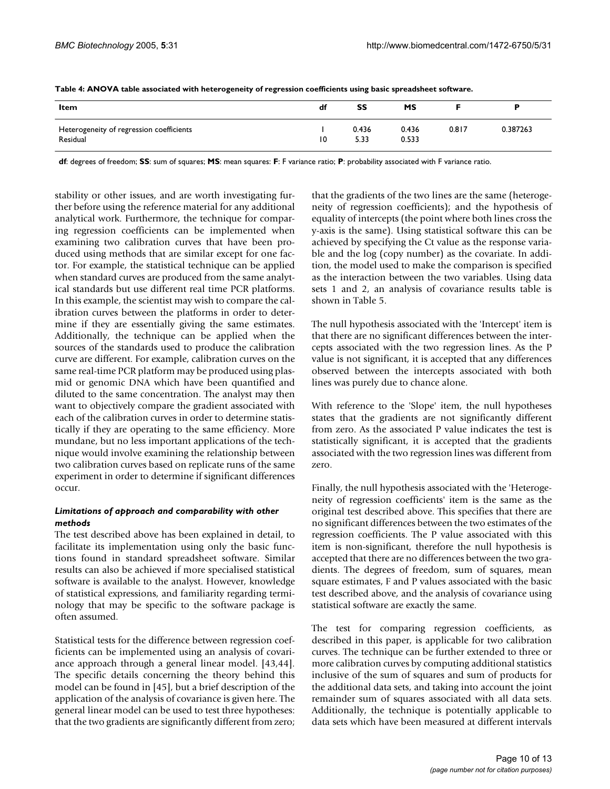| <b>Item</b>                                          | df | SS            | <b>MS</b>      |       |          |
|------------------------------------------------------|----|---------------|----------------|-------|----------|
| Heterogeneity of regression coefficients<br>Residual | 10 | 0.436<br>5.33 | 0.436<br>0.533 | 0.817 | 0.387263 |

#### **Table 4: ANOVA table associated with heterogeneity of regression coefficients using basic spreadsheet software.**

**df**: degrees of freedom; **SS**: sum of squares; **MS**: mean squares: **F**: F variance ratio; **P**: probability associated with F variance ratio.

stability or other issues, and are worth investigating further before using the reference material for any additional analytical work. Furthermore, the technique for comparing regression coefficients can be implemented when examining two calibration curves that have been produced using methods that are similar except for one factor. For example, the statistical technique can be applied when standard curves are produced from the same analytical standards but use different real time PCR platforms. In this example, the scientist may wish to compare the calibration curves between the platforms in order to determine if they are essentially giving the same estimates. Additionally, the technique can be applied when the sources of the standards used to produce the calibration curve are different. For example, calibration curves on the same real-time PCR platform may be produced using plasmid or genomic DNA which have been quantified and diluted to the same concentration. The analyst may then want to objectively compare the gradient associated with each of the calibration curves in order to determine statistically if they are operating to the same efficiency. More mundane, but no less important applications of the technique would involve examining the relationship between two calibration curves based on replicate runs of the same experiment in order to determine if significant differences occur.

#### *Limitations of approach and comparability with other methods*

The test described above has been explained in detail, to facilitate its implementation using only the basic functions found in standard spreadsheet software. Similar results can also be achieved if more specialised statistical software is available to the analyst. However, knowledge of statistical expressions, and familiarity regarding terminology that may be specific to the software package is often assumed.

Statistical tests for the difference between regression coefficients can be implemented using an analysis of covariance approach through a general linear model. [43,44]. The specific details concerning the theory behind this model can be found in [45], but a brief description of the application of the analysis of covariance is given here. The general linear model can be used to test three hypotheses: that the two gradients are significantly different from zero; that the gradients of the two lines are the same (heterogeneity of regression coefficients); and the hypothesis of equality of intercepts (the point where both lines cross the y-axis is the same). Using statistical software this can be achieved by specifying the Ct value as the response variable and the log (copy number) as the covariate. In addition, the model used to make the comparison is specified as the interaction between the two variables. Using data sets 1 and 2, an analysis of covariance results table is shown in Table 5.

The null hypothesis associated with the 'Intercept' item is that there are no significant differences between the intercepts associated with the two regression lines. As the P value is not significant, it is accepted that any differences observed between the intercepts associated with both lines was purely due to chance alone.

With reference to the 'Slope' item, the null hypotheses states that the gradients are not significantly different from zero. As the associated P value indicates the test is statistically significant, it is accepted that the gradients associated with the two regression lines was different from zero.

Finally, the null hypothesis associated with the 'Heterogeneity of regression coefficients' item is the same as the original test described above. This specifies that there are no significant differences between the two estimates of the regression coefficients. The P value associated with this item is non-significant, therefore the null hypothesis is accepted that there are no differences between the two gradients. The degrees of freedom, sum of squares, mean square estimates, F and P values associated with the basic test described above, and the analysis of covariance using statistical software are exactly the same.

The test for comparing regression coefficients, as described in this paper, is applicable for two calibration curves. The technique can be further extended to three or more calibration curves by computing additional statistics inclusive of the sum of squares and sum of products for the additional data sets, and taking into account the joint remainder sum of squares associated with all data sets. Additionally, the technique is potentially applicable to data sets which have been measured at different intervals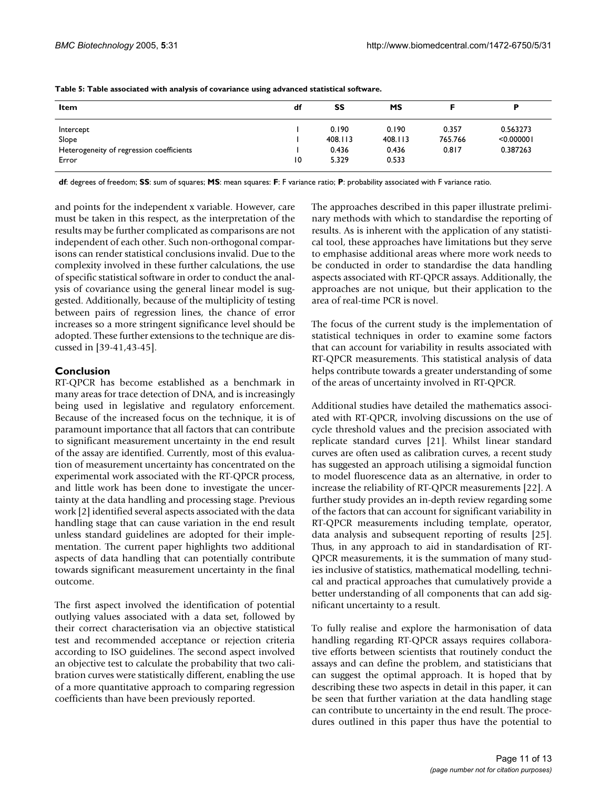| <b>Item</b>                              | df | SS      | <b>MS</b> |         |            |
|------------------------------------------|----|---------|-----------|---------|------------|
| Intercept                                |    | 0.190   | 0.190     | 0.357   | 0.563273   |
| Slope                                    |    | 408.113 | 408.113   | 765.766 | < 0.000001 |
| Heterogeneity of regression coefficients |    | 0.436   | 0.436     | 0.817   | 0.387263   |
| Error                                    | 10 | 5.329   | 0.533     |         |            |

**Table 5: Table associated with analysis of covariance using advanced statistical software.**

**df**: degrees of freedom; **SS**: sum of squares; **MS**: mean squares: **F**: F variance ratio; **P**: probability associated with F variance ratio.

and points for the independent x variable. However, care must be taken in this respect, as the interpretation of the results may be further complicated as comparisons are not independent of each other. Such non-orthogonal comparisons can render statistical conclusions invalid. Due to the complexity involved in these further calculations, the use of specific statistical software in order to conduct the analysis of covariance using the general linear model is suggested. Additionally, because of the multiplicity of testing between pairs of regression lines, the chance of error increases so a more stringent significance level should be adopted. These further extensions to the technique are discussed in [39-41,43-45].

## **Conclusion**

RT-QPCR has become established as a benchmark in many areas for trace detection of DNA, and is increasingly being used in legislative and regulatory enforcement. Because of the increased focus on the technique, it is of paramount importance that all factors that can contribute to significant measurement uncertainty in the end result of the assay are identified. Currently, most of this evaluation of measurement uncertainty has concentrated on the experimental work associated with the RT-QPCR process, and little work has been done to investigate the uncertainty at the data handling and processing stage. Previous work [2] identified several aspects associated with the data handling stage that can cause variation in the end result unless standard guidelines are adopted for their implementation. The current paper highlights two additional aspects of data handling that can potentially contribute towards significant measurement uncertainty in the final outcome.

The first aspect involved the identification of potential outlying values associated with a data set, followed by their correct characterisation via an objective statistical test and recommended acceptance or rejection criteria according to ISO guidelines. The second aspect involved an objective test to calculate the probability that two calibration curves were statistically different, enabling the use of a more quantitative approach to comparing regression coefficients than have been previously reported.

The approaches described in this paper illustrate preliminary methods with which to standardise the reporting of results. As is inherent with the application of any statistical tool, these approaches have limitations but they serve to emphasise additional areas where more work needs to be conducted in order to standardise the data handling aspects associated with RT-QPCR assays. Additionally, the approaches are not unique, but their application to the area of real-time PCR is novel.

The focus of the current study is the implementation of statistical techniques in order to examine some factors that can account for variability in results associated with RT-QPCR measurements. This statistical analysis of data helps contribute towards a greater understanding of some of the areas of uncertainty involved in RT-QPCR.

Additional studies have detailed the mathematics associated with RT-QPCR, involving discussions on the use of cycle threshold values and the precision associated with replicate standard curves [21]. Whilst linear standard curves are often used as calibration curves, a recent study has suggested an approach utilising a sigmoidal function to model fluorescence data as an alternative, in order to increase the reliability of RT-QPCR measurements [22]. A further study provides an in-depth review regarding some of the factors that can account for significant variability in RT-QPCR measurements including template, operator, data analysis and subsequent reporting of results [25]. Thus, in any approach to aid in standardisation of RT-QPCR measurements, it is the summation of many studies inclusive of statistics, mathematical modelling, technical and practical approaches that cumulatively provide a better understanding of all components that can add significant uncertainty to a result.

To fully realise and explore the harmonisation of data handling regarding RT-QPCR assays requires collaborative efforts between scientists that routinely conduct the assays and can define the problem, and statisticians that can suggest the optimal approach. It is hoped that by describing these two aspects in detail in this paper, it can be seen that further variation at the data handling stage can contribute to uncertainty in the end result. The procedures outlined in this paper thus have the potential to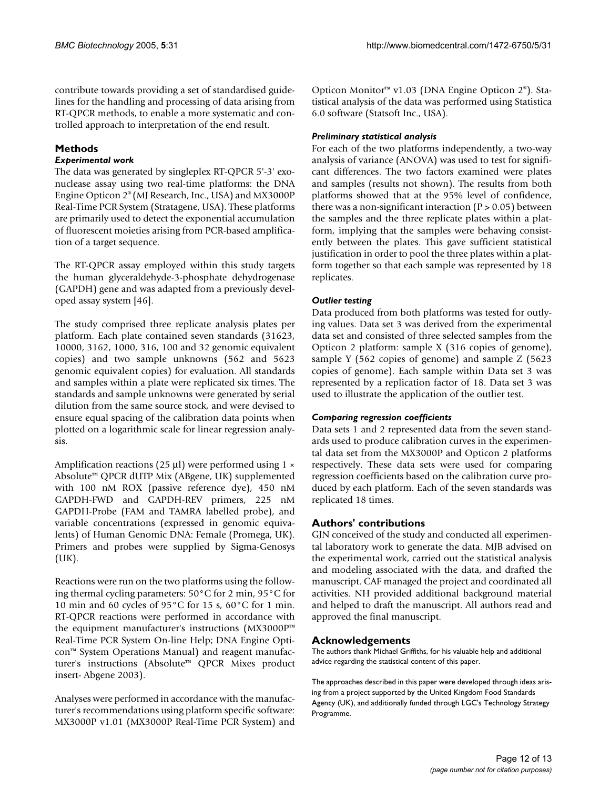contribute towards providing a set of standardised guidelines for the handling and processing of data arising from RT-QPCR methods, to enable a more systematic and controlled approach to interpretation of the end result.

# **Methods**

## *Experimental work*

The data was generated by singleplex RT-QPCR 5'-3' exonuclease assay using two real-time platforms: the DNA Engine Opticon 2® (MJ Research, Inc., USA) and MX3000P Real-Time PCR System (Stratagene, USA). These platforms are primarily used to detect the exponential accumulation of fluorescent moieties arising from PCR-based amplification of a target sequence.

The RT-QPCR assay employed within this study targets the human glyceraldehyde-3-phosphate dehydrogenase (GAPDH) gene and was adapted from a previously developed assay system [46].

The study comprised three replicate analysis plates per platform. Each plate contained seven standards (31623, 10000, 3162, 1000, 316, 100 and 32 genomic equivalent copies) and two sample unknowns (562 and 5623 genomic equivalent copies) for evaluation. All standards and samples within a plate were replicated six times. The standards and sample unknowns were generated by serial dilution from the same source stock, and were devised to ensure equal spacing of the calibration data points when plotted on a logarithmic scale for linear regression analysis.

Amplification reactions (25 µl) were performed using 1  $\times$ Absolute™ QPCR dUTP Mix (ABgene, UK) supplemented with 100 nM ROX (passive reference dye), 450 nM GAPDH-FWD and GAPDH-REV primers, 225 nM GAPDH-Probe (FAM and TAMRA labelled probe), and variable concentrations (expressed in genomic equivalents) of Human Genomic DNA: Female (Promega, UK). Primers and probes were supplied by Sigma-Genosys (UK).

Reactions were run on the two platforms using the following thermal cycling parameters: 50°C for 2 min, 95°C for 10 min and 60 cycles of 95°C for 15 s, 60°C for 1 min. RT-QPCR reactions were performed in accordance with the equipment manufacturer's instructions (MX3000P™ Real-Time PCR System On-line Help; DNA Engine Opticon™ System Operations Manual) and reagent manufacturer's instructions (Absolute™ QPCR Mixes product insert- Abgene 2003).

Analyses were performed in accordance with the manufacturer's recommendations using platform specific software: MX3000P v1.01 (MX3000P Real-Time PCR System) and Opticon Monitor™ v1.03 (DNA Engine Opticon 2®). Statistical analysis of the data was performed using Statistica 6.0 software (Statsoft Inc., USA).

# *Preliminary statistical analysis*

For each of the two platforms independently, a two-way analysis of variance (ANOVA) was used to test for significant differences. The two factors examined were plates and samples (results not shown). The results from both platforms showed that at the 95% level of confidence, there was a non-significant interaction ( $P > 0.05$ ) between the samples and the three replicate plates within a platform, implying that the samples were behaving consistently between the plates. This gave sufficient statistical justification in order to pool the three plates within a platform together so that each sample was represented by 18 replicates.

## *Outlier testing*

Data produced from both platforms was tested for outlying values. Data set 3 was derived from the experimental data set and consisted of three selected samples from the Opticon 2 platform: sample X (316 copies of genome), sample Y (562 copies of genome) and sample Z (5623 copies of genome). Each sample within Data set 3 was represented by a replication factor of 18. Data set 3 was used to illustrate the application of the outlier test.

# *Comparing regression coefficients*

Data sets 1 and 2 represented data from the seven standards used to produce calibration curves in the experimental data set from the MX3000P and Opticon 2 platforms respectively. These data sets were used for comparing regression coefficients based on the calibration curve produced by each platform. Each of the seven standards was replicated 18 times.

# **Authors' contributions**

GJN conceived of the study and conducted all experimental laboratory work to generate the data. MJB advised on the experimental work, carried out the statistical analysis and modeling associated with the data, and drafted the manuscript. CAF managed the project and coordinated all activities. NH provided additional background material and helped to draft the manuscript. All authors read and approved the final manuscript.

#### **Acknowledgements**

The authors thank Michael Griffiths, for his valuable help and additional advice regarding the statistical content of this paper.

The approaches described in this paper were developed through ideas arising from a project supported by the United Kingdom Food Standards Agency (UK), and additionally funded through LGC's Technology Strategy Programme.